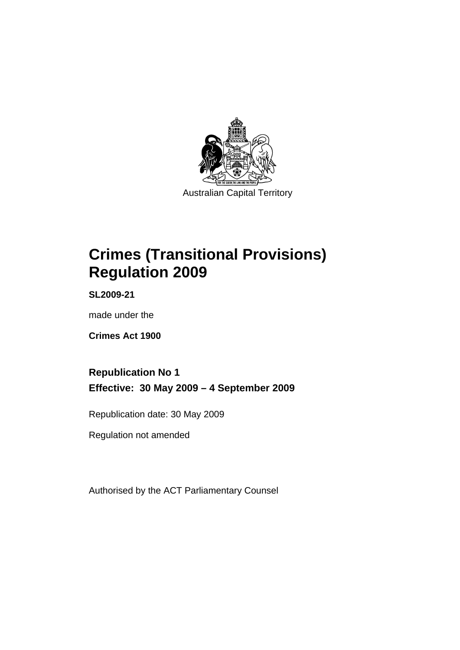

Australian Capital Territory

# **[Crimes \(Transitional Provisions\)](#page-4-0)  [Regulation 2009](#page-4-0)**

**SL2009-21** 

made under the

**[Crimes Act 1900](#page-4-0)** 

**Republication No 1 Effective: 30 May 2009 – 4 September 2009** 

Republication date: 30 May 2009

Regulation not amended

Authorised by the ACT Parliamentary Counsel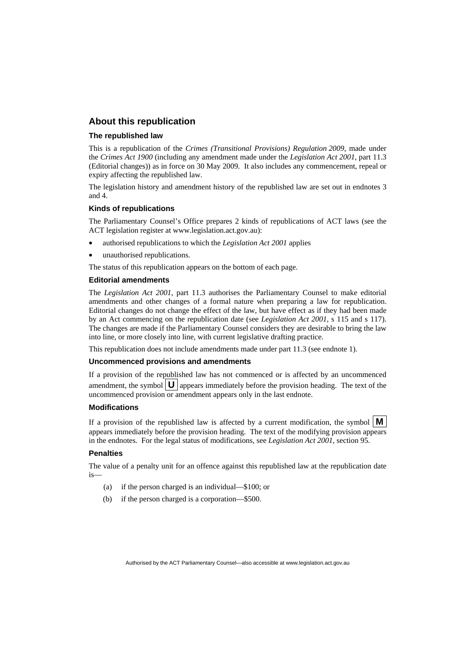# **About this republication**

### **The republished law**

This is a republication of the *Crimes (Transitional Provisions) Regulation 2009*, made under the *[Crimes Act 1900](#page-4-0)* (including any amendment made under the *Legislation Act 2001*, part 11.3 (Editorial changes)) as in force on 30 May 2009*.* It also includes any commencement, repeal or expiry affecting the republished law.

The legislation history and amendment history of the republished law are set out in endnotes 3 and 4.

#### **Kinds of republications**

The Parliamentary Counsel's Office prepares 2 kinds of republications of ACT laws (see the ACT legislation register at www.legislation.act.gov.au):

- authorised republications to which the *Legislation Act 2001* applies
- unauthorised republications.

The status of this republication appears on the bottom of each page.

#### **Editorial amendments**

The *Legislation Act 2001*, part 11.3 authorises the Parliamentary Counsel to make editorial amendments and other changes of a formal nature when preparing a law for republication. Editorial changes do not change the effect of the law, but have effect as if they had been made by an Act commencing on the republication date (see *Legislation Act 2001*, s 115 and s 117). The changes are made if the Parliamentary Counsel considers they are desirable to bring the law into line, or more closely into line, with current legislative drafting practice.

This republication does not include amendments made under part 11.3 (see endnote 1).

#### **Uncommenced provisions and amendments**

If a provision of the republished law has not commenced or is affected by an uncommenced amendment, the symbol  $\mathbf{U}$  appears immediately before the provision heading. The text of the uncommenced provision  $\overline{or}$  amendment appears only in the last endnote.

#### **Modifications**

If a provision of the republished law is affected by a current modification, the symbol  $\mathbf{M}$ appears immediately before the provision heading. The text of the modifying provision appears in the endnotes. For the legal status of modifications, see *Legislation Act 2001*, section 95.

#### **Penalties**

The value of a penalty unit for an offence against this republished law at the republication date is—

- (a) if the person charged is an individual—\$100; or
- (b) if the person charged is a corporation—\$500.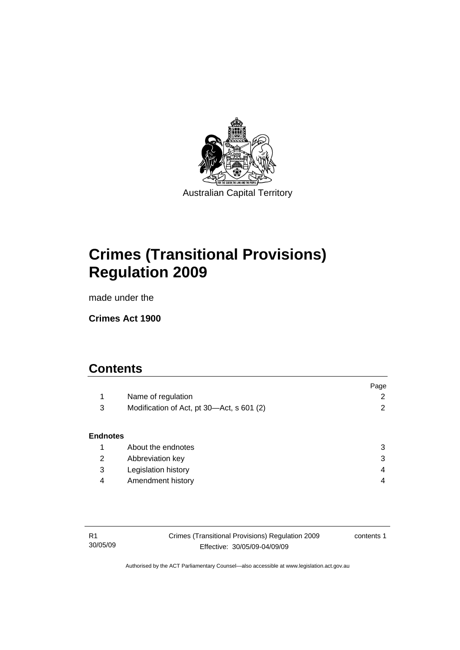

**[Crimes \(Transitional Provisions\)](#page-4-0)  [Regulation 2009](#page-4-0)** 

made under the

**[Crimes Act 1900](#page-4-0)** 

# **Contents**

|                 |                                           | Page |
|-----------------|-------------------------------------------|------|
| 1               | Name of regulation                        | 2    |
| 3               | Modification of Act, pt 30-Act, s 601 (2) | 2    |
|                 |                                           |      |
| <b>Endnotes</b> |                                           |      |
| 1               | About the endnotes                        | 3    |
| 2               | Abbreviation key                          | 3    |
| 3               | Legislation history                       | 4    |
| 4               | Amendment history                         | 4    |
|                 |                                           |      |

| - R1     | Crimes (Transitional Provisions) Regulation 2009 | contents 1 |
|----------|--------------------------------------------------|------------|
| 30/05/09 | Effective: 30/05/09-04/09/09                     |            |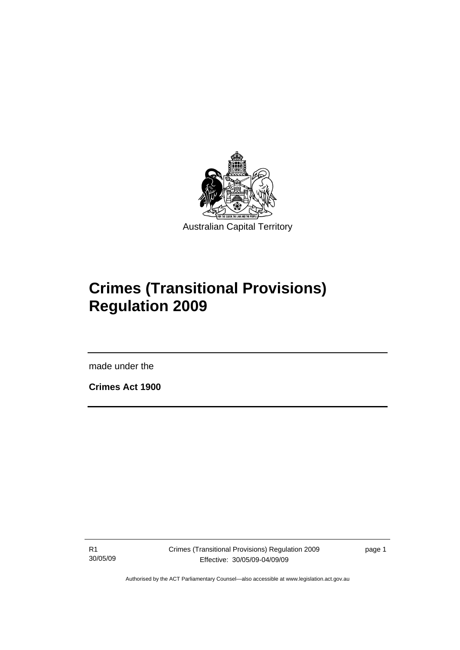<span id="page-4-0"></span>

# **Crimes (Transitional Provisions) Regulation 2009**

made under the

**Crimes Act 1900** 

l

R1 30/05/09 page 1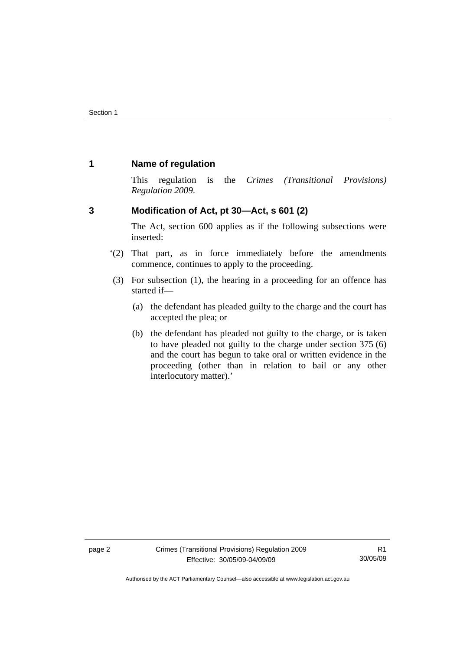# <span id="page-5-0"></span>**1 Name of regulation**

This regulation is the *Crimes (Transitional Provisions) Regulation 2009*.

# **3 Modification of Act, pt 30—Act, s 601 (2)**

The Act, section 600 applies as if the following subsections were inserted:

- '(2) That part, as in force immediately before the amendments commence, continues to apply to the proceeding.
- (3) For subsection (1), the hearing in a proceeding for an offence has started if—
	- (a) the defendant has pleaded guilty to the charge and the court has accepted the plea; or
	- (b) the defendant has pleaded not guilty to the charge, or is taken to have pleaded not guilty to the charge under section 375 (6) and the court has begun to take oral or written evidence in the proceeding (other than in relation to bail or any other interlocutory matter).'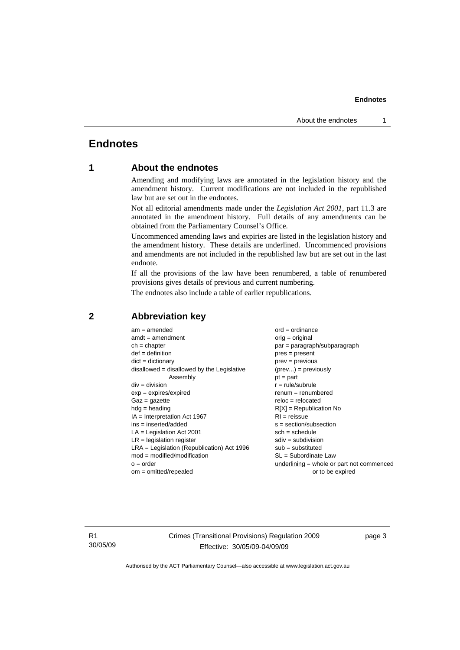#### **Endnotes**

# <span id="page-6-0"></span>**Endnotes**

# **1 About the endnotes**

Amending and modifying laws are annotated in the legislation history and the amendment history. Current modifications are not included in the republished law but are set out in the endnotes.

Not all editorial amendments made under the *Legislation Act 2001*, part 11.3 are annotated in the amendment history. Full details of any amendments can be obtained from the Parliamentary Counsel's Office.

Uncommenced amending laws and expiries are listed in the legislation history and the amendment history. These details are underlined. Uncommenced provisions and amendments are not included in the republished law but are set out in the last endnote.

If all the provisions of the law have been renumbered, a table of renumbered provisions gives details of previous and current numbering.

The endnotes also include a table of earlier republications.

| $ord = ordinance$                           |
|---------------------------------------------|
| $orig = original$                           |
| par = paragraph/subparagraph                |
| $pres = present$                            |
| $prev = previous$                           |
| $(\text{prev}) = \text{previously}$         |
| $pt = part$                                 |
| $r = rule/subrule$                          |
| $renum = renumbered$                        |
| $reloc = relocated$                         |
| $R[X]$ = Republication No                   |
| $RI = reissue$                              |
| $s = section/subsection$                    |
| $sch = schedule$                            |
| $sdiv = subdivision$                        |
| $sub =$ substituted                         |
| $SL = Subordinate$ Law                      |
| $underlining = whole or part not commenced$ |
| or to be expired                            |
|                                             |

## **2 Abbreviation key**

R1 30/05/09 Crimes (Transitional Provisions) Regulation 2009 Effective: 30/05/09-04/09/09

page 3